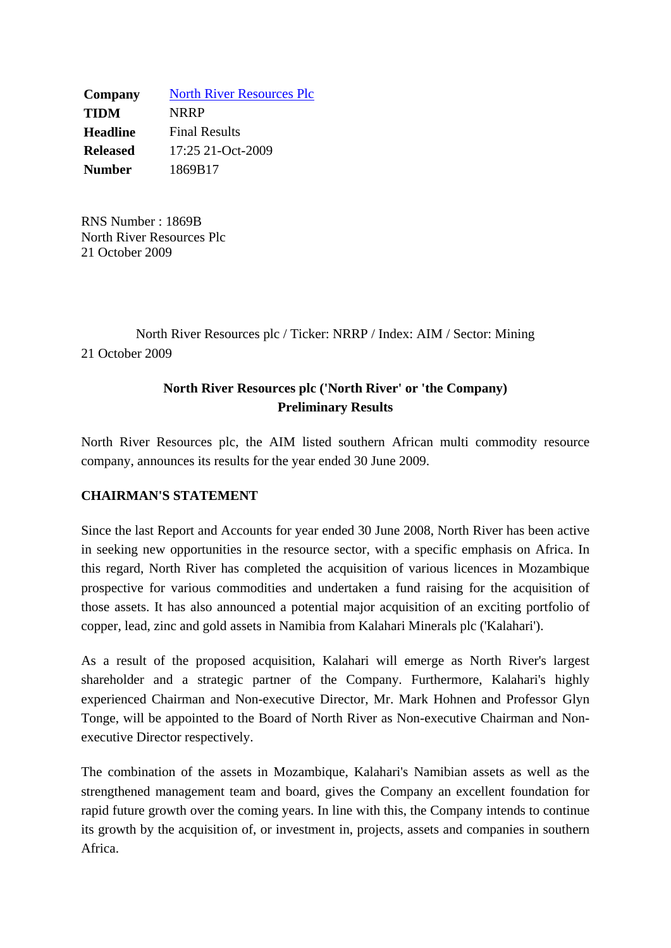**Company** North River Resources Plc **TIDM** NRRP **Headline** Final Results **Released** 17:25 21-Oct-2009 **Number** 1869B17

RNS Number : 1869B North River Resources Plc 21 October 2009

North River Resources plc / Ticker: NRRP / Index: AIM / Sector: Mining 21 October 2009

# **North River Resources plc ('North River' or 'the Company) Preliminary Results**

North River Resources plc, the AIM listed southern African multi commodity resource company, announces its results for the year ended 30 June 2009.

## **CHAIRMAN'S STATEMENT**

Since the last Report and Accounts for year ended 30 June 2008, North River has been active in seeking new opportunities in the resource sector, with a specific emphasis on Africa. In this regard, North River has completed the acquisition of various licences in Mozambique prospective for various commodities and undertaken a fund raising for the acquisition of those assets. It has also announced a potential major acquisition of an exciting portfolio of copper, lead, zinc and gold assets in Namibia from Kalahari Minerals plc ('Kalahari').

As a result of the proposed acquisition, Kalahari will emerge as North River's largest shareholder and a strategic partner of the Company. Furthermore, Kalahari's highly experienced Chairman and Non-executive Director, Mr. Mark Hohnen and Professor Glyn Tonge, will be appointed to the Board of North River as Non-executive Chairman and Nonexecutive Director respectively.

The combination of the assets in Mozambique, Kalahari's Namibian assets as well as the strengthened management team and board, gives the Company an excellent foundation for rapid future growth over the coming years. In line with this, the Company intends to continue its growth by the acquisition of, or investment in, projects, assets and companies in southern Africa.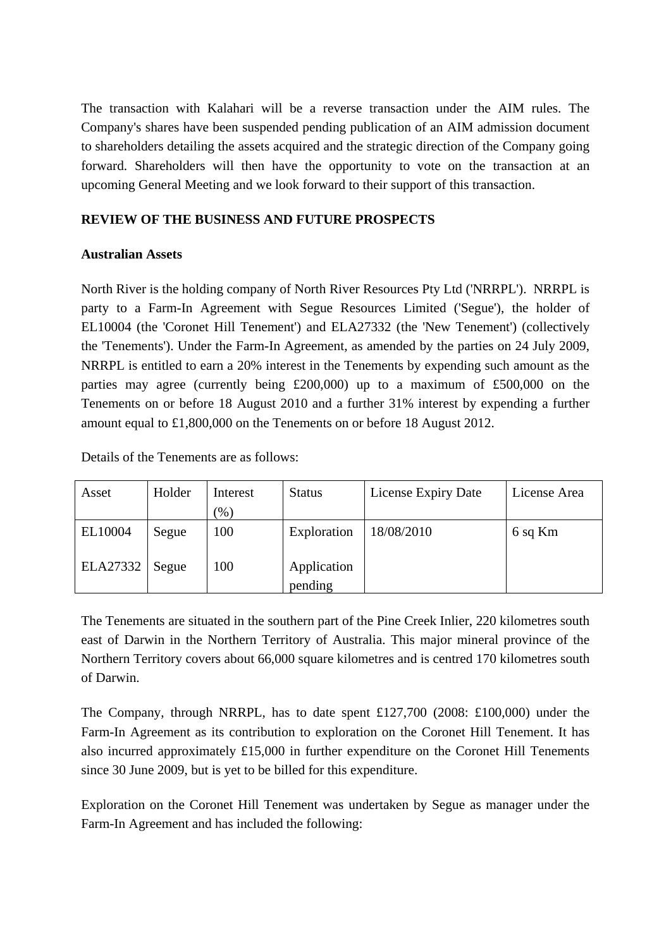The transaction with Kalahari will be a reverse transaction under the AIM rules. The Company's shares have been suspended pending publication of an AIM admission document to shareholders detailing the assets acquired and the strategic direction of the Company going forward. Shareholders will then have the opportunity to vote on the transaction at an upcoming General Meeting and we look forward to their support of this transaction.

## **REVIEW OF THE BUSINESS AND FUTURE PROSPECTS**

## **Australian Assets**

North River is the holding company of North River Resources Pty Ltd ('NRRPL'). NRRPL is party to a Farm-In Agreement with Segue Resources Limited ('Segue'), the holder of EL10004 (the 'Coronet Hill Tenement') and ELA27332 (the 'New Tenement') (collectively the 'Tenements'). Under the Farm-In Agreement, as amended by the parties on 24 July 2009, NRRPL is entitled to earn a 20% interest in the Tenements by expending such amount as the parties may agree (currently being £200,000) up to a maximum of £500,000 on the Tenements on or before 18 August 2010 and a further 31% interest by expending a further amount equal to £1,800,000 on the Tenements on or before 18 August 2012.

Details of the Tenements are as follows:

| Asset    | Holder | Interest | <b>Status</b>          | License Expiry Date | License Area |
|----------|--------|----------|------------------------|---------------------|--------------|
|          |        | (% )     |                        |                     |              |
| EL10004  | Segue  | 100      | Exploration            | 18/08/2010          | 6 sq Km      |
| ELA27332 | Segue  | 100      | Application<br>pending |                     |              |

The Tenements are situated in the southern part of the Pine Creek Inlier, 220 kilometres south east of Darwin in the Northern Territory of Australia. This major mineral province of the Northern Territory covers about 66,000 square kilometres and is centred 170 kilometres south of Darwin.

The Company, through NRRPL, has to date spent £127,700 (2008: £100,000) under the Farm-In Agreement as its contribution to exploration on the Coronet Hill Tenement. It has also incurred approximately £15,000 in further expenditure on the Coronet Hill Tenements since 30 June 2009, but is yet to be billed for this expenditure.

Exploration on the Coronet Hill Tenement was undertaken by Segue as manager under the Farm-In Agreement and has included the following: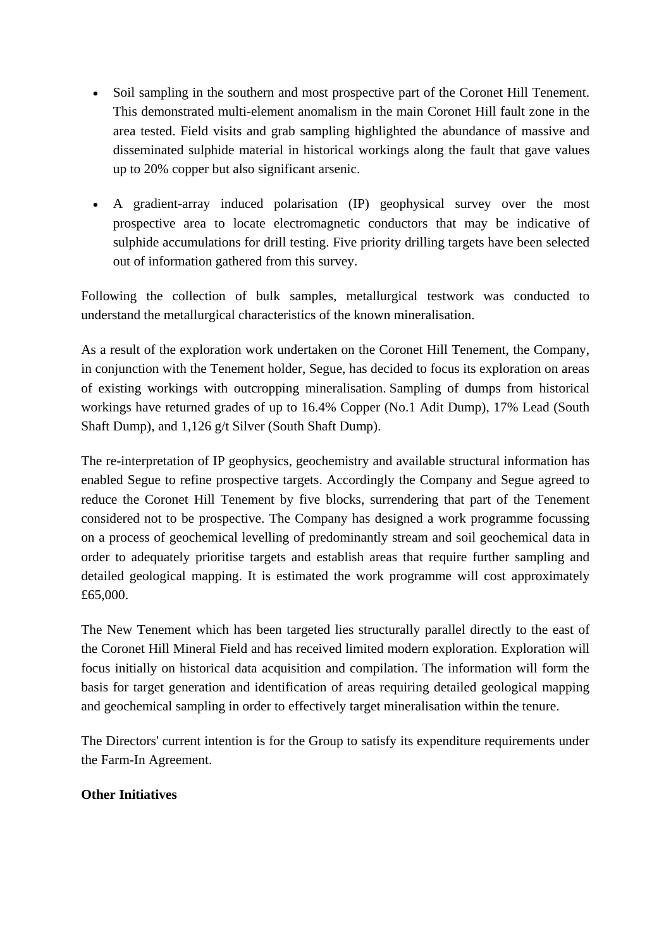- Soil sampling in the southern and most prospective part of the Coronet Hill Tenement. This demonstrated multi-element anomalism in the main Coronet Hill fault zone in the area tested. Field visits and grab sampling highlighted the abundance of massive and disseminated sulphide material in historical workings along the fault that gave values up to 20% copper but also significant arsenic.
- A gradient-array induced polarisation (IP) geophysical survey over the most prospective area to locate electromagnetic conductors that may be indicative of sulphide accumulations for drill testing. Five priority drilling targets have been selected out of information gathered from this survey.

Following the collection of bulk samples, metallurgical testwork was conducted to understand the metallurgical characteristics of the known mineralisation.

As a result of the exploration work undertaken on the Coronet Hill Tenement, the Company, in conjunction with the Tenement holder, Segue, has decided to focus its exploration on areas of existing workings with outcropping mineralisation. Sampling of dumps from historical workings have returned grades of up to 16.4% Copper (No.1 Adit Dump), 17% Lead (South Shaft Dump), and 1,126 g/t Silver (South Shaft Dump).

The re-interpretation of IP geophysics, geochemistry and available structural information has enabled Segue to refine prospective targets. Accordingly the Company and Segue agreed to reduce the Coronet Hill Tenement by five blocks, surrendering that part of the Tenement considered not to be prospective. The Company has designed a work programme focussing on a process of geochemical levelling of predominantly stream and soil geochemical data in order to adequately prioritise targets and establish areas that require further sampling and detailed geological mapping. It is estimated the work programme will cost approximately £65,000.

The New Tenement which has been targeted lies structurally parallel directly to the east of the Coronet Hill Mineral Field and has received limited modern exploration. Exploration will focus initially on historical data acquisition and compilation. The information will form the basis for target generation and identification of areas requiring detailed geological mapping and geochemical sampling in order to effectively target mineralisation within the tenure.

The Directors' current intention is for the Group to satisfy its expenditure requirements under the Farm-In Agreement.

# **Other Initiatives**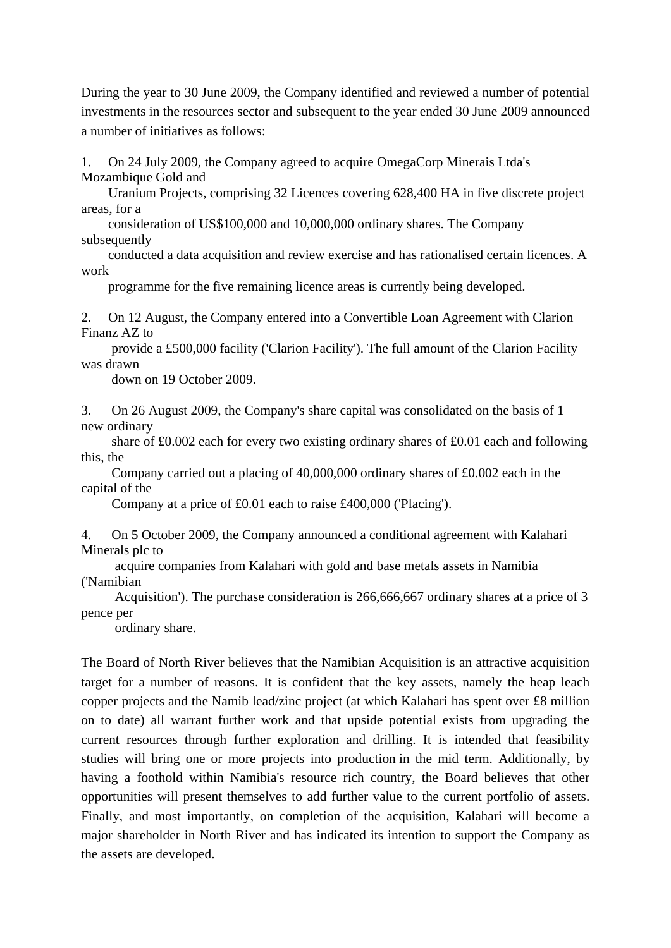During the year to 30 June 2009, the Company identified and reviewed a number of potential investments in the resources sector and subsequent to the year ended 30 June 2009 announced a number of initiatives as follows:

1. On 24 July 2009, the Company agreed to acquire OmegaCorp Minerais Ltda's Mozambique Gold and

 Uranium Projects, comprising 32 Licences covering 628,400 HA in five discrete project areas, for a

 consideration of US\$100,000 and 10,000,000 ordinary shares. The Company subsequently

 conducted a data acquisition and review exercise and has rationalised certain licences. A work

programme for the five remaining licence areas is currently being developed.

2. On 12 August, the Company entered into a Convertible Loan Agreement with Clarion Finanz AZ to

 provide a £500,000 facility ('Clarion Facility'). The full amount of the Clarion Facility was drawn

down on 19 October 2009.

3. On 26 August 2009, the Company's share capital was consolidated on the basis of 1 new ordinary

 share of £0.002 each for every two existing ordinary shares of £0.01 each and following this, the

 Company carried out a placing of 40,000,000 ordinary shares of £0.002 each in the capital of the

Company at a price of £0.01 each to raise £400,000 ('Placing').

4. On 5 October 2009, the Company announced a conditional agreement with Kalahari Minerals plc to

 acquire companies from Kalahari with gold and base metals assets in Namibia ('Namibian

 Acquisition'). The purchase consideration is 266,666,667 ordinary shares at a price of 3 pence per

ordinary share.

The Board of North River believes that the Namibian Acquisition is an attractive acquisition target for a number of reasons. It is confident that the key assets, namely the heap leach copper projects and the Namib lead/zinc project (at which Kalahari has spent over £8 million on to date) all warrant further work and that upside potential exists from upgrading the current resources through further exploration and drilling. It is intended that feasibility studies will bring one or more projects into production in the mid term. Additionally, by having a foothold within Namibia's resource rich country, the Board believes that other opportunities will present themselves to add further value to the current portfolio of assets. Finally, and most importantly, on completion of the acquisition, Kalahari will become a major shareholder in North River and has indicated its intention to support the Company as the assets are developed.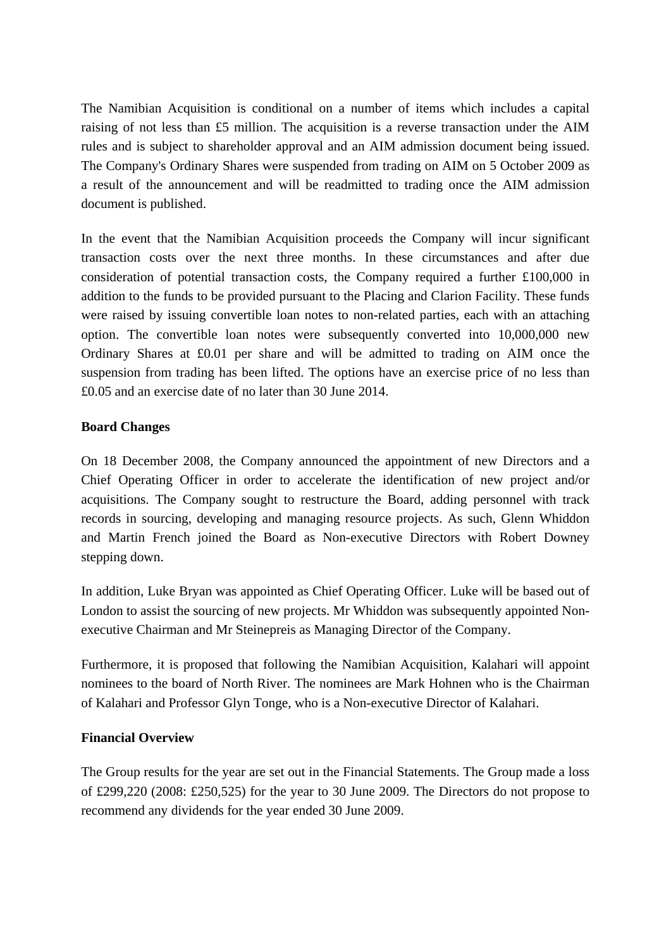The Namibian Acquisition is conditional on a number of items which includes a capital raising of not less than £5 million. The acquisition is a reverse transaction under the AIM rules and is subject to shareholder approval and an AIM admission document being issued. The Company's Ordinary Shares were suspended from trading on AIM on 5 October 2009 as a result of the announcement and will be readmitted to trading once the AIM admission document is published.

In the event that the Namibian Acquisition proceeds the Company will incur significant transaction costs over the next three months. In these circumstances and after due consideration of potential transaction costs, the Company required a further £100,000 in addition to the funds to be provided pursuant to the Placing and Clarion Facility. These funds were raised by issuing convertible loan notes to non-related parties, each with an attaching option. The convertible loan notes were subsequently converted into 10,000,000 new Ordinary Shares at £0.01 per share and will be admitted to trading on AIM once the suspension from trading has been lifted. The options have an exercise price of no less than £0.05 and an exercise date of no later than 30 June 2014.

#### **Board Changes**

On 18 December 2008, the Company announced the appointment of new Directors and a Chief Operating Officer in order to accelerate the identification of new project and/or acquisitions. The Company sought to restructure the Board, adding personnel with track records in sourcing, developing and managing resource projects. As such, Glenn Whiddon and Martin French joined the Board as Non-executive Directors with Robert Downey stepping down.

In addition, Luke Bryan was appointed as Chief Operating Officer. Luke will be based out of London to assist the sourcing of new projects. Mr Whiddon was subsequently appointed Nonexecutive Chairman and Mr Steinepreis as Managing Director of the Company.

Furthermore, it is proposed that following the Namibian Acquisition, Kalahari will appoint nominees to the board of North River. The nominees are Mark Hohnen who is the Chairman of Kalahari and Professor Glyn Tonge, who is a Non-executive Director of Kalahari.

#### **Financial Overview**

The Group results for the year are set out in the Financial Statements. The Group made a loss of £299,220 (2008: £250,525) for the year to 30 June 2009. The Directors do not propose to recommend any dividends for the year ended 30 June 2009.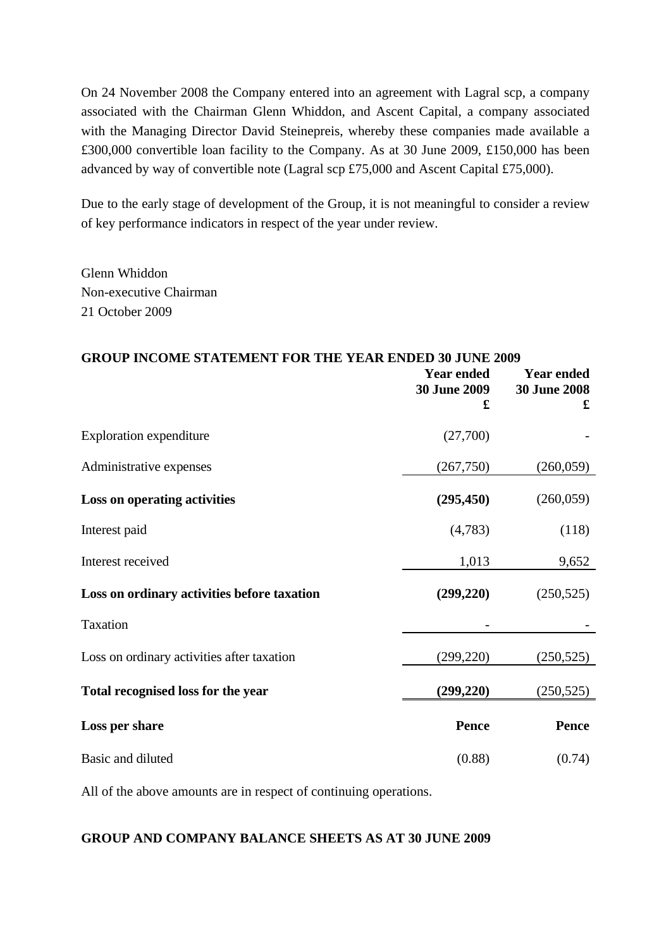On 24 November 2008 the Company entered into an agreement with Lagral scp, a company associated with the Chairman Glenn Whiddon, and Ascent Capital, a company associated with the Managing Director David Steinepreis, whereby these companies made available a £300,000 convertible loan facility to the Company. As at 30 June 2009, £150,000 has been advanced by way of convertible note (Lagral scp £75,000 and Ascent Capital £75,000).

Due to the early stage of development of the Group, it is not meaningful to consider a review of key performance indicators in respect of the year under review.

Glenn Whiddon Non-executive Chairman 21 October 2009

#### **GROUP INCOME STATEMENT FOR THE YEAR ENDED 30 JUNE 2009**

|                                             | <b>Year ended</b><br><b>30 June 2009</b><br>£ | <b>Year ended</b><br><b>30 June 2008</b><br>$\mathbf f$ |
|---------------------------------------------|-----------------------------------------------|---------------------------------------------------------|
| <b>Exploration expenditure</b>              | (27,700)                                      |                                                         |
| Administrative expenses                     | (267, 750)                                    | (260,059)                                               |
| Loss on operating activities                | (295, 450)                                    | (260, 059)                                              |
| Interest paid                               | (4,783)                                       | (118)                                                   |
| Interest received                           | 1,013                                         | 9,652                                                   |
| Loss on ordinary activities before taxation | (299, 220)                                    | (250, 525)                                              |
| <b>Taxation</b>                             |                                               |                                                         |
| Loss on ordinary activities after taxation  | (299, 220)                                    | (250, 525)                                              |
| Total recognised loss for the year          | (299, 220)                                    | (250, 525)                                              |
| Loss per share                              | Pence                                         | Pence                                                   |
| Basic and diluted                           | (0.88)                                        | (0.74)                                                  |

All of the above amounts are in respect of continuing operations.

#### **GROUP AND COMPANY BALANCE SHEETS AS AT 30 JUNE 2009**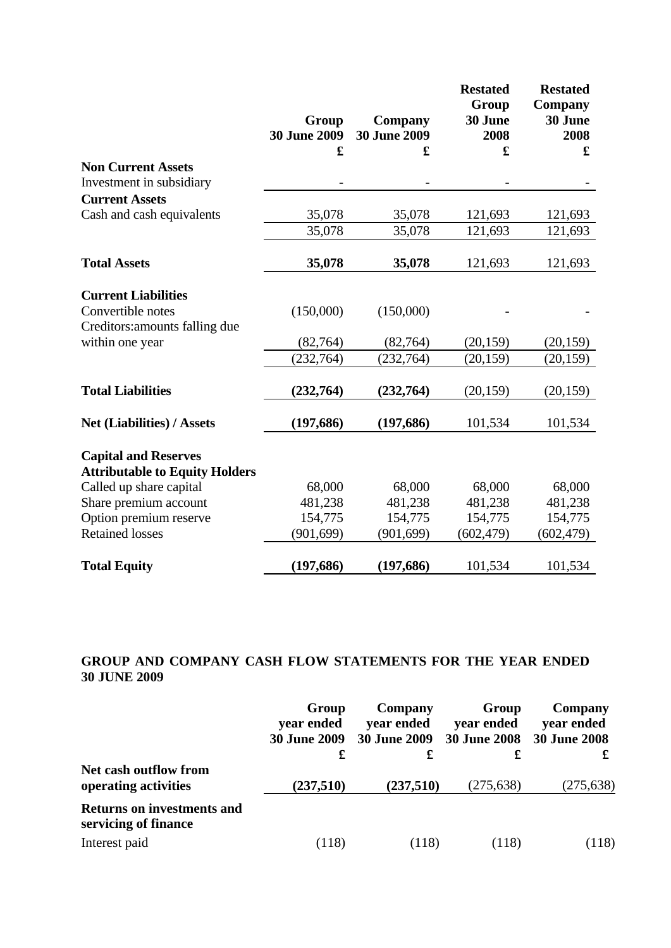|                                                                      | Group<br><b>30 June 2009</b><br>£ | Company<br><b>30 June 2009</b><br>£ | <b>Restated</b><br>Group<br>30 June<br>2008<br>£ | <b>Restated</b><br>Company<br>30 June<br>2008<br>$\mathbf f$ |
|----------------------------------------------------------------------|-----------------------------------|-------------------------------------|--------------------------------------------------|--------------------------------------------------------------|
| <b>Non Current Assets</b>                                            |                                   |                                     |                                                  |                                                              |
| Investment in subsidiary                                             |                                   |                                     |                                                  |                                                              |
| <b>Current Assets</b>                                                |                                   |                                     |                                                  |                                                              |
| Cash and cash equivalents                                            | 35,078                            | 35,078                              | 121,693                                          | 121,693                                                      |
|                                                                      | 35,078                            | 35,078                              | 121,693                                          | 121,693                                                      |
| <b>Total Assets</b>                                                  | 35,078                            | 35,078                              | 121,693                                          | 121,693                                                      |
| <b>Current Liabilities</b><br>Convertible notes                      | (150,000)                         | (150,000)                           |                                                  |                                                              |
| Creditors: amounts falling due                                       |                                   |                                     |                                                  |                                                              |
| within one year                                                      | (82, 764)                         | (82,764)                            | (20, 159)                                        | (20, 159)                                                    |
|                                                                      | (232, 764)                        | (232, 764)                          | (20, 159)                                        | (20, 159)                                                    |
| <b>Total Liabilities</b>                                             | (232, 764)                        | (232,764)                           | (20, 159)                                        | (20, 159)                                                    |
| <b>Net (Liabilities) / Assets</b>                                    | (197, 686)                        | (197, 686)                          | 101,534                                          | 101,534                                                      |
| <b>Capital and Reserves</b><br><b>Attributable to Equity Holders</b> |                                   |                                     |                                                  |                                                              |
| Called up share capital                                              | 68,000                            | 68,000                              | 68,000                                           | 68,000                                                       |
| Share premium account                                                | 481,238                           | 481,238                             | 481,238                                          | 481,238                                                      |
| Option premium reserve                                               | 154,775                           | 154,775                             | 154,775                                          | 154,775                                                      |
| <b>Retained losses</b>                                               | (901, 699)                        | (901, 699)                          | (602, 479)                                       | (602, 479)                                                   |
| <b>Total Equity</b>                                                  | (197, 686)                        | (197, 686)                          | 101,534                                          | 101,534                                                      |

# **GROUP AND COMPANY CASH FLOW STATEMENTS FOR THE YEAR ENDED 30 JUNE 2009**

|                                                           | Group<br>year ended<br><b>30 June 2009</b><br>£ | Company<br>vear ended<br><b>30 June 2009</b><br>£ | Group<br>year ended<br><b>30 June 2008</b> | Company<br>year ended<br><b>30 June 2008</b> |
|-----------------------------------------------------------|-------------------------------------------------|---------------------------------------------------|--------------------------------------------|----------------------------------------------|
| Net cash outflow from<br>operating activities             | (237,510)                                       | (237,510)                                         | (275, 638)                                 | (275, 638)                                   |
| <b>Returns on investments and</b><br>servicing of finance |                                                 |                                                   |                                            |                                              |
| Interest paid                                             | (118)                                           | (118)                                             | (118)                                      | (118)                                        |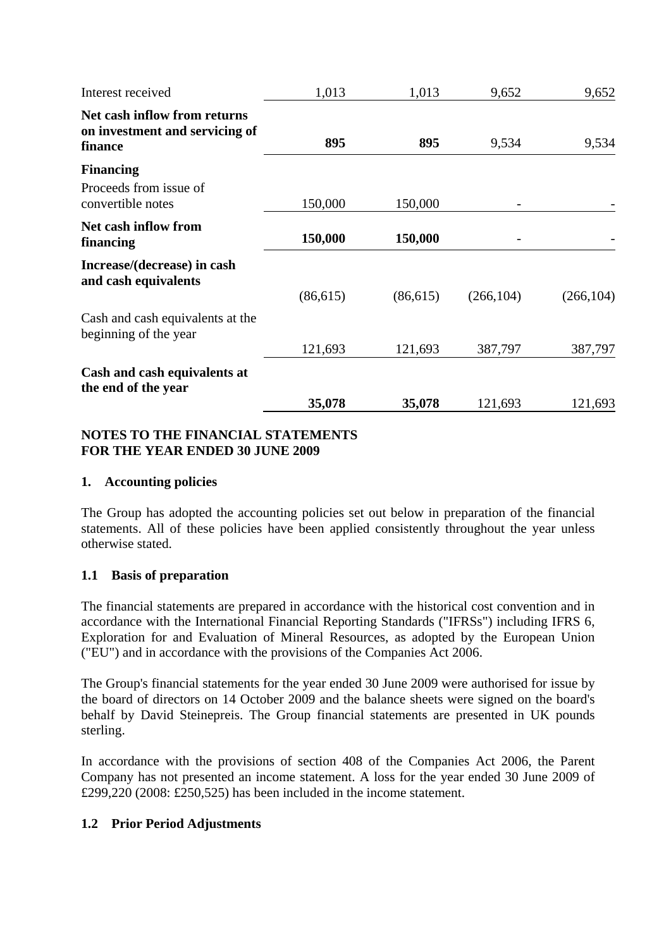| Interest received                                                         | 1,013     | 1,013     | 9,652      | 9,652      |
|---------------------------------------------------------------------------|-----------|-----------|------------|------------|
| Net cash inflow from returns<br>on investment and servicing of<br>finance | 895       | 895       | 9,534      | 9,534      |
| <b>Financing</b>                                                          |           |           |            |            |
| Proceeds from issue of<br>convertible notes                               | 150,000   | 150,000   |            |            |
| Net cash inflow from<br>financing                                         | 150,000   | 150,000   |            |            |
| Increase/(decrease) in cash<br>and cash equivalents                       |           |           |            |            |
|                                                                           | (86, 615) | (86, 615) | (266, 104) | (266, 104) |
| Cash and cash equivalents at the<br>beginning of the year                 |           |           |            |            |
|                                                                           | 121,693   | 121,693   | 387,797    | 387,797    |
| Cash and cash equivalents at<br>the end of the year                       |           |           |            |            |
|                                                                           | 35,078    | 35,078    | 121,693    | 121,693    |

#### **NOTES TO THE FINANCIAL STATEMENTS FOR THE YEAR ENDED 30 JUNE 2009**

## **1. Accounting policies**

The Group has adopted the accounting policies set out below in preparation of the financial statements. All of these policies have been applied consistently throughout the year unless otherwise stated.

## **1.1 Basis of preparation**

The financial statements are prepared in accordance with the historical cost convention and in accordance with the International Financial Reporting Standards ("IFRSs") including IFRS 6, Exploration for and Evaluation of Mineral Resources, as adopted by the European Union ("EU") and in accordance with the provisions of the Companies Act 2006.

The Group's financial statements for the year ended 30 June 2009 were authorised for issue by the board of directors on 14 October 2009 and the balance sheets were signed on the board's behalf by David Steinepreis. The Group financial statements are presented in UK pounds sterling.

In accordance with the provisions of section 408 of the Companies Act 2006, the Parent Company has not presented an income statement. A loss for the year ended 30 June 2009 of £299,220 (2008: £250,525) has been included in the income statement.

# **1.2 Prior Period Adjustments**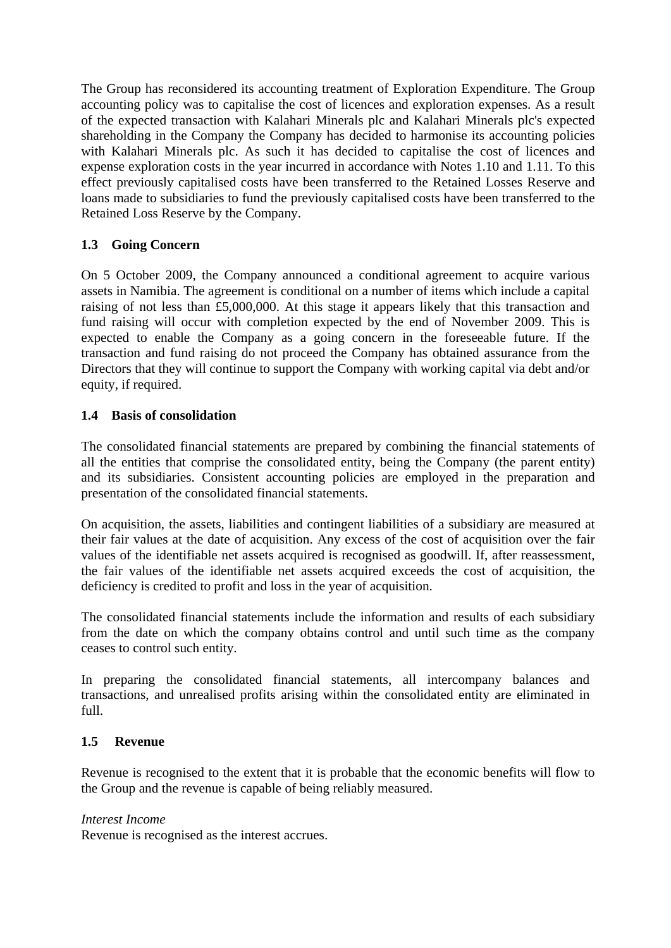The Group has reconsidered its accounting treatment of Exploration Expenditure. The Group accounting policy was to capitalise the cost of licences and exploration expenses. As a result of the expected transaction with Kalahari Minerals plc and Kalahari Minerals plc's expected shareholding in the Company the Company has decided to harmonise its accounting policies with Kalahari Minerals plc. As such it has decided to capitalise the cost of licences and expense exploration costs in the year incurred in accordance with Notes 1.10 and 1.11. To this effect previously capitalised costs have been transferred to the Retained Losses Reserve and loans made to subsidiaries to fund the previously capitalised costs have been transferred to the Retained Loss Reserve by the Company.

# **1.3 Going Concern**

On 5 October 2009, the Company announced a conditional agreement to acquire various assets in Namibia. The agreement is conditional on a number of items which include a capital raising of not less than £5,000,000. At this stage it appears likely that this transaction and fund raising will occur with completion expected by the end of November 2009. This is expected to enable the Company as a going concern in the foreseeable future. If the transaction and fund raising do not proceed the Company has obtained assurance from the Directors that they will continue to support the Company with working capital via debt and/or equity, if required.

## **1.4 Basis of consolidation**

The consolidated financial statements are prepared by combining the financial statements of all the entities that comprise the consolidated entity, being the Company (the parent entity) and its subsidiaries. Consistent accounting policies are employed in the preparation and presentation of the consolidated financial statements.

On acquisition, the assets, liabilities and contingent liabilities of a subsidiary are measured at their fair values at the date of acquisition. Any excess of the cost of acquisition over the fair values of the identifiable net assets acquired is recognised as goodwill. If, after reassessment, the fair values of the identifiable net assets acquired exceeds the cost of acquisition, the deficiency is credited to profit and loss in the year of acquisition.

The consolidated financial statements include the information and results of each subsidiary from the date on which the company obtains control and until such time as the company ceases to control such entity.

In preparing the consolidated financial statements, all intercompany balances and transactions, and unrealised profits arising within the consolidated entity are eliminated in full.

## **1.5 Revenue**

Revenue is recognised to the extent that it is probable that the economic benefits will flow to the Group and the revenue is capable of being reliably measured.

#### *Interest Income*

Revenue is recognised as the interest accrues.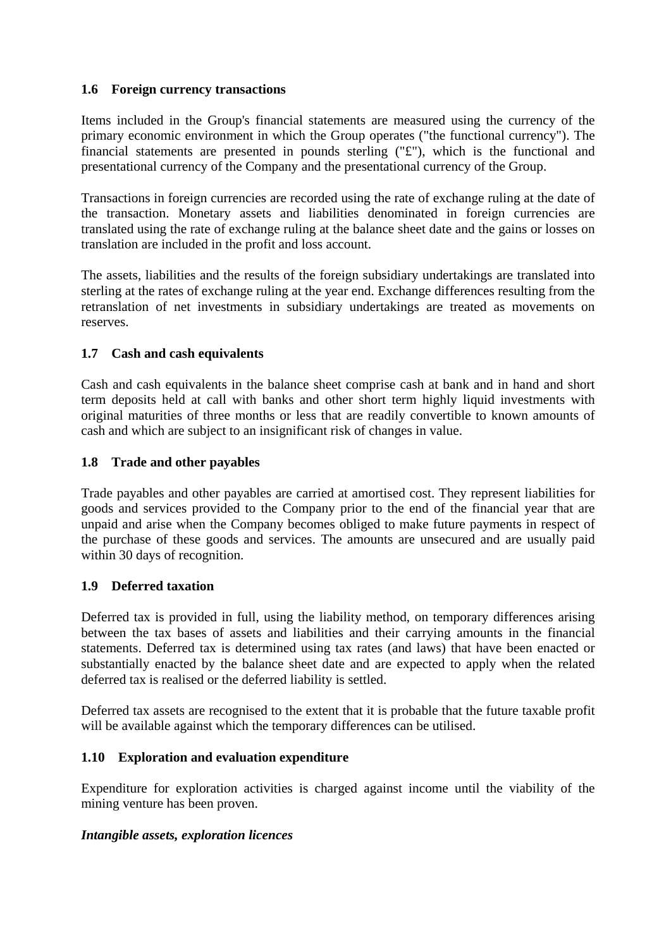## **1.6 Foreign currency transactions**

Items included in the Group's financial statements are measured using the currency of the primary economic environment in which the Group operates ("the functional currency"). The financial statements are presented in pounds sterling ("£"), which is the functional and presentational currency of the Company and the presentational currency of the Group.

Transactions in foreign currencies are recorded using the rate of exchange ruling at the date of the transaction. Monetary assets and liabilities denominated in foreign currencies are translated using the rate of exchange ruling at the balance sheet date and the gains or losses on translation are included in the profit and loss account.

The assets, liabilities and the results of the foreign subsidiary undertakings are translated into sterling at the rates of exchange ruling at the year end. Exchange differences resulting from the retranslation of net investments in subsidiary undertakings are treated as movements on reserves.

## **1.7 Cash and cash equivalents**

Cash and cash equivalents in the balance sheet comprise cash at bank and in hand and short term deposits held at call with banks and other short term highly liquid investments with original maturities of three months or less that are readily convertible to known amounts of cash and which are subject to an insignificant risk of changes in value.

## **1.8 Trade and other payables**

Trade payables and other payables are carried at amortised cost. They represent liabilities for goods and services provided to the Company prior to the end of the financial year that are unpaid and arise when the Company becomes obliged to make future payments in respect of the purchase of these goods and services. The amounts are unsecured and are usually paid within 30 days of recognition.

## **1.9 Deferred taxation**

Deferred tax is provided in full, using the liability method, on temporary differences arising between the tax bases of assets and liabilities and their carrying amounts in the financial statements. Deferred tax is determined using tax rates (and laws) that have been enacted or substantially enacted by the balance sheet date and are expected to apply when the related deferred tax is realised or the deferred liability is settled.

Deferred tax assets are recognised to the extent that it is probable that the future taxable profit will be available against which the temporary differences can be utilised.

## **1.10 Exploration and evaluation expenditure**

Expenditure for exploration activities is charged against income until the viability of the mining venture has been proven.

## *Intangible assets, exploration licences*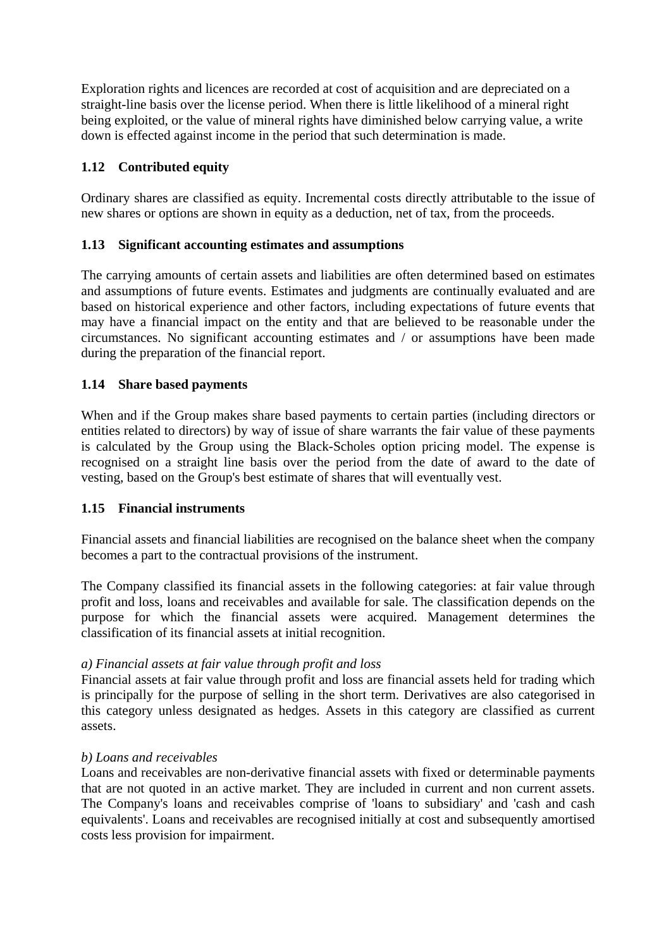Exploration rights and licences are recorded at cost of acquisition and are depreciated on a straight-line basis over the license period. When there is little likelihood of a mineral right being exploited, or the value of mineral rights have diminished below carrying value, a write down is effected against income in the period that such determination is made.

## **1.12 Contributed equity**

Ordinary shares are classified as equity. Incremental costs directly attributable to the issue of new shares or options are shown in equity as a deduction, net of tax, from the proceeds.

## **1.13 Significant accounting estimates and assumptions**

The carrying amounts of certain assets and liabilities are often determined based on estimates and assumptions of future events. Estimates and judgments are continually evaluated and are based on historical experience and other factors, including expectations of future events that may have a financial impact on the entity and that are believed to be reasonable under the circumstances. No significant accounting estimates and / or assumptions have been made during the preparation of the financial report.

#### **1.14 Share based payments**

When and if the Group makes share based payments to certain parties (including directors or entities related to directors) by way of issue of share warrants the fair value of these payments is calculated by the Group using the Black-Scholes option pricing model. The expense is recognised on a straight line basis over the period from the date of award to the date of vesting, based on the Group's best estimate of shares that will eventually vest.

#### **1.15 Financial instruments**

Financial assets and financial liabilities are recognised on the balance sheet when the company becomes a part to the contractual provisions of the instrument.

The Company classified its financial assets in the following categories: at fair value through profit and loss, loans and receivables and available for sale. The classification depends on the purpose for which the financial assets were acquired. Management determines the classification of its financial assets at initial recognition.

#### *a) Financial assets at fair value through profit and loss*

Financial assets at fair value through profit and loss are financial assets held for trading which is principally for the purpose of selling in the short term. Derivatives are also categorised in this category unless designated as hedges. Assets in this category are classified as current assets.

#### *b) Loans and receivables*

Loans and receivables are non-derivative financial assets with fixed or determinable payments that are not quoted in an active market. They are included in current and non current assets. The Company's loans and receivables comprise of 'loans to subsidiary' and 'cash and cash equivalents'. Loans and receivables are recognised initially at cost and subsequently amortised costs less provision for impairment.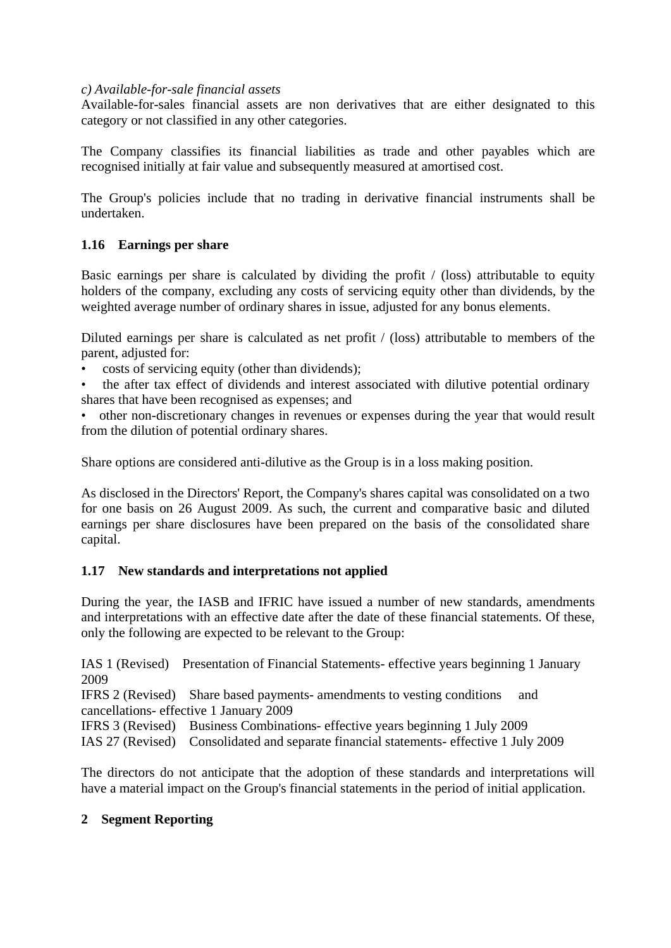#### *c) Available-for-sale financial assets*

Available-for-sales financial assets are non derivatives that are either designated to this category or not classified in any other categories.

The Company classifies its financial liabilities as trade and other payables which are recognised initially at fair value and subsequently measured at amortised cost.

The Group's policies include that no trading in derivative financial instruments shall be undertaken.

## **1.16 Earnings per share**

Basic earnings per share is calculated by dividing the profit / (loss) attributable to equity holders of the company, excluding any costs of servicing equity other than dividends, by the weighted average number of ordinary shares in issue, adjusted for any bonus elements.

Diluted earnings per share is calculated as net profit / (loss) attributable to members of the parent, adjusted for:

- costs of servicing equity (other than dividends);
- the after tax effect of dividends and interest associated with dilutive potential ordinary shares that have been recognised as expenses; and
- other non-discretionary changes in revenues or expenses during the year that would result from the dilution of potential ordinary shares.

Share options are considered anti-dilutive as the Group is in a loss making position.

As disclosed in the Directors' Report, the Company's shares capital was consolidated on a two for one basis on 26 August 2009. As such, the current and comparative basic and diluted earnings per share disclosures have been prepared on the basis of the consolidated share capital.

## **1.17 New standards and interpretations not applied**

During the year, the IASB and IFRIC have issued a number of new standards, amendments and interpretations with an effective date after the date of these financial statements. Of these, only the following are expected to be relevant to the Group:

IAS 1 (Revised) Presentation of Financial Statements- effective years beginning 1 January 2009

IFRS 2 (Revised) Share based payments- amendments to vesting conditions and cancellations- effective 1 January 2009

IFRS 3 (Revised) Business Combinations- effective years beginning 1 July 2009

IAS 27 (Revised) Consolidated and separate financial statements- effective 1 July 2009

The directors do not anticipate that the adoption of these standards and interpretations will have a material impact on the Group's financial statements in the period of initial application.

## **2 Segment Reporting**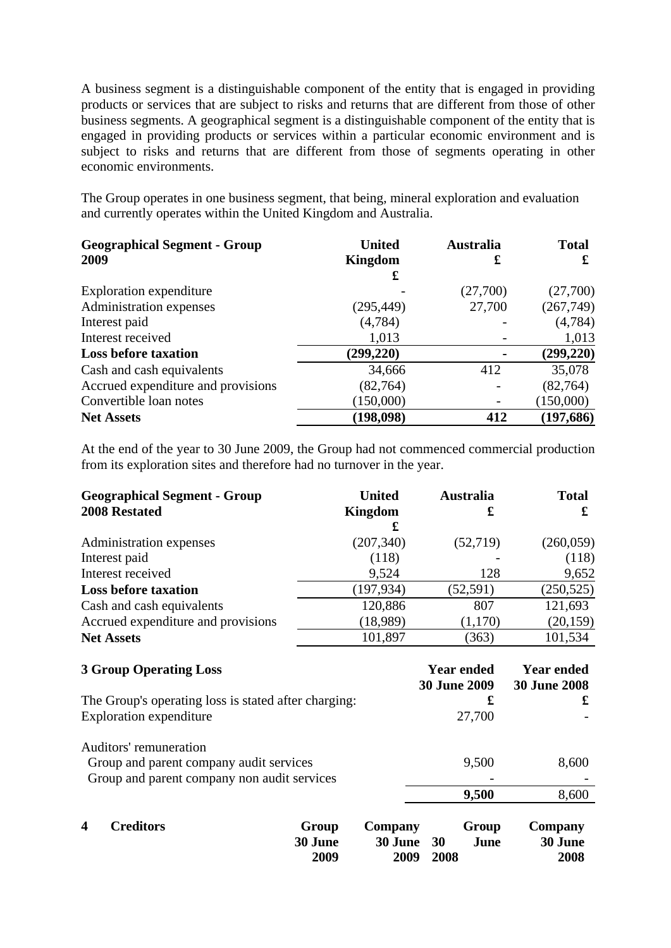A business segment is a distinguishable component of the entity that is engaged in providing products or services that are subject to risks and returns that are different from those of other business segments. A geographical segment is a distinguishable component of the entity that is engaged in providing products or services within a particular economic environment and is subject to risks and returns that are different from those of segments operating in other economic environments.

The Group operates in one business segment, that being, mineral exploration and evaluation and currently operates within the United Kingdom and Australia.

| <b>United</b>  | <b>Australia</b> | <b>Total</b> |
|----------------|------------------|--------------|
| <b>Kingdom</b> | £                | £            |
| £              |                  |              |
|                | (27,700)         | (27,700)     |
| (295, 449)     | 27,700           | (267, 749)   |
| (4,784)        |                  | (4,784)      |
| 1,013          |                  | 1,013        |
| (299, 220)     |                  | (299, 220)   |
| 34,666         | 412              | 35,078       |
| (82, 764)      |                  | (82, 764)    |
| (150,000)      |                  | (150,000)    |
| (198, 098)     | 412              | (197, 686)   |
|                |                  |              |

At the end of the year to 30 June 2009, the Group had not commenced commercial production from its exploration sites and therefore had no turnover in the year.

| <b>Geographical Segment - Group</b><br><b>2008 Restated</b>                                                      | <b>United</b><br><b>Kingdom</b><br>£                   | <b>Australia</b><br>£                    | <b>Total</b><br>£                        |
|------------------------------------------------------------------------------------------------------------------|--------------------------------------------------------|------------------------------------------|------------------------------------------|
| Administration expenses                                                                                          | (207, 340)                                             | (52,719)                                 | (260,059)                                |
| Interest paid                                                                                                    | (118)                                                  |                                          | (118)                                    |
| Interest received                                                                                                | 9,524                                                  | 128                                      | 9,652                                    |
| <b>Loss before taxation</b>                                                                                      | (197, 934)                                             | (52, 591)                                | (250, 525)                               |
| Cash and cash equivalents                                                                                        | 120,886                                                | 807                                      | 121,693                                  |
| Accrued expenditure and provisions                                                                               | (18,989)                                               | (1,170)                                  | (20, 159)                                |
| <b>Net Assets</b>                                                                                                | 101,897                                                | (363)                                    | 101,534                                  |
| <b>3 Group Operating Loss</b>                                                                                    |                                                        | <b>Year ended</b><br><b>30 June 2009</b> | <b>Year ended</b><br><b>30 June 2008</b> |
| The Group's operating loss is stated after charging:<br><b>Exploration expenditure</b>                           |                                                        | £<br>27,700                              | £                                        |
| Auditors' remuneration<br>Group and parent company audit services<br>Group and parent company non audit services |                                                        | 9,500                                    | 8,600                                    |
|                                                                                                                  |                                                        | 9,500                                    | 8,600                                    |
| <b>Creditors</b><br>4                                                                                            | Group<br>Company<br>30 June<br>30 June<br>2009<br>2009 | Group<br>30<br>June<br>2008              | Company<br>30 June<br>2008               |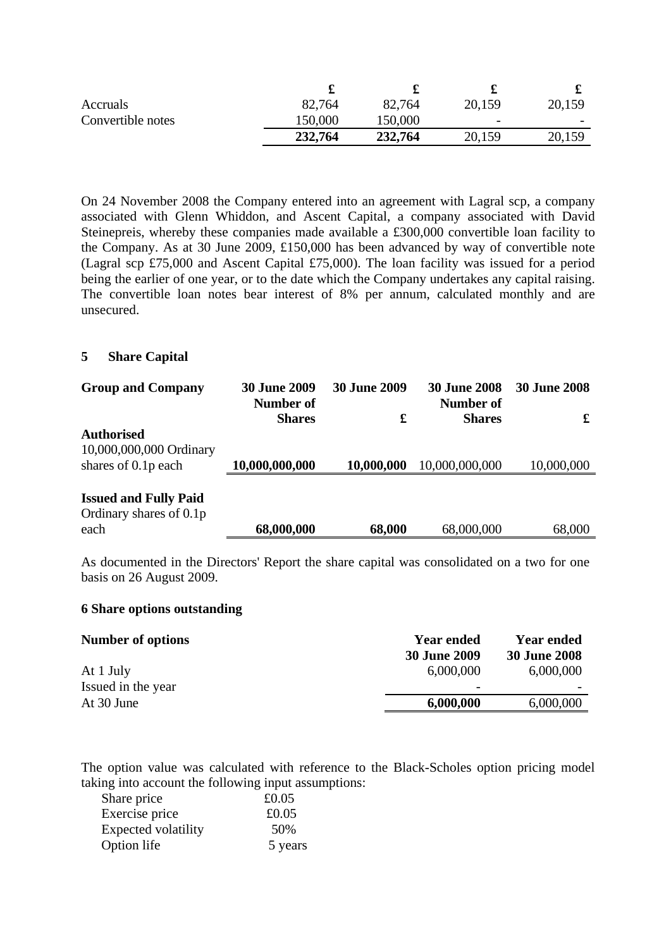| Accruals          | 82,764  | 82,764  | 20,159 | 20,159                   |
|-------------------|---------|---------|--------|--------------------------|
| Convertible notes | 150,000 | 150,000 | -      | $\overline{\phantom{0}}$ |
|                   | 232,764 | 232,764 | 20,159 | 20,159                   |

On 24 November 2008 the Company entered into an agreement with Lagral scp, a company associated with Glenn Whiddon, and Ascent Capital, a company associated with David Steinepreis, whereby these companies made available a £300,000 convertible loan facility to the Company. As at 30 June 2009, £150,000 has been advanced by way of convertible note (Lagral scp £75,000 and Ascent Capital £75,000). The loan facility was issued for a period being the earlier of one year, or to the date which the Company undertakes any capital raising. The convertible loan notes bear interest of 8% per annum, calculated monthly and are unsecured.

#### **5 Share Capital**

| <b>Group and Company</b>                                            | <b>30 June 2009</b><br>Number of<br><b>Shares</b> | <b>30 June 2009</b><br>£ | <b>30 June 2008</b><br>Number of<br><b>Shares</b> | <b>30 June 2008</b><br>£ |
|---------------------------------------------------------------------|---------------------------------------------------|--------------------------|---------------------------------------------------|--------------------------|
| <b>Authorised</b><br>10,000,000,000 Ordinary<br>shares of 0.1p each | 10,000,000,000                                    | 10,000,000               | 10,000,000,000                                    | 10,000,000               |
| <b>Issued and Fully Paid</b><br>Ordinary shares of 0.1p<br>each     | 68,000,000                                        | 68,000                   | 68,000,000                                        | 68,000                   |

As documented in the Directors' Report the share capital was consolidated on a two for one basis on 26 August 2009.

#### **6 Share options outstanding**

| Number of options  | <b>Year ended</b><br><b>30 June 2009</b> | <b>Year ended</b><br><b>30 June 2008</b> |
|--------------------|------------------------------------------|------------------------------------------|
| At 1 July          | 6,000,000                                | 6,000,000                                |
| Issued in the year | $\overline{\phantom{0}}$                 |                                          |
| At 30 June         | 6,000,000                                | 6,000,000                                |

The option value was calculated with reference to the Black-Scholes option pricing model taking into account the following input assumptions:

| Share price         | £0.05   |
|---------------------|---------|
| Exercise price      | £0.05   |
| Expected volatility | 50%     |
| Option life         | 5 years |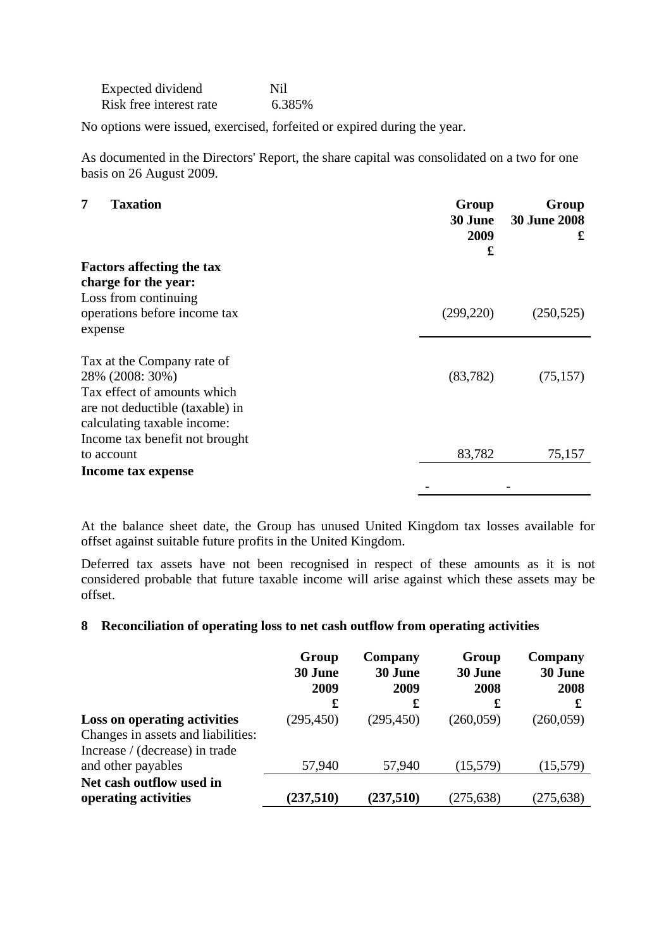| Expected dividend       | Nil    |
|-------------------------|--------|
| Risk free interest rate | 6.385% |

No options were issued, exercised, forfeited or expired during the year.

As documented in the Directors' Report, the share capital was consolidated on a two for one basis on 26 August 2009.

**Group**

| 7<br><b>Taxation</b>             | Group<br>30 June<br>2009<br>£ | Group<br><b>30 June 2008</b><br>£ |
|----------------------------------|-------------------------------|-----------------------------------|
| <b>Factors affecting the tax</b> |                               |                                   |
| charge for the year:             |                               |                                   |
| Loss from continuing             |                               |                                   |
| operations before income tax     | (299, 220)                    | (250, 525)                        |
| expense                          |                               |                                   |
| Tax at the Company rate of       |                               |                                   |
| 28% (2008: 30%)                  | (83, 782)                     | (75, 157)                         |
| Tax effect of amounts which      |                               |                                   |
| are not deductible (taxable) in  |                               |                                   |
| calculating taxable income:      |                               |                                   |
| Income tax benefit not brought   |                               |                                   |
| to account                       | 83,782                        | 75,157                            |
| Income tax expense               |                               |                                   |
|                                  |                               |                                   |

At the balance sheet date, the Group has unused United Kingdom tax losses available for offset against suitable future profits in the United Kingdom.

Deferred tax assets have not been recognised in respect of these amounts as it is not considered probable that future taxable income will arise against which these assets may be offset.

#### **8 Reconciliation of operating loss to net cash outflow from operating activities**

| Group<br>30 June<br>2009 | Company<br>30 June<br>2009 | Group<br>30 June<br>2008 | Company<br>30 June<br>2008 |
|--------------------------|----------------------------|--------------------------|----------------------------|
| £                        | £                          | £                        | £                          |
| (295, 450)               | (295, 450)                 | (260,059)                | (260,059)                  |
|                          |                            |                          |                            |
|                          |                            |                          |                            |
| 57,940                   | 57,940                     | (15,579)                 | (15, 579)                  |
|                          |                            |                          |                            |
| (237,510)                | (237,510)                  | (275, 638)               | (275, 638)                 |
|                          |                            |                          |                            |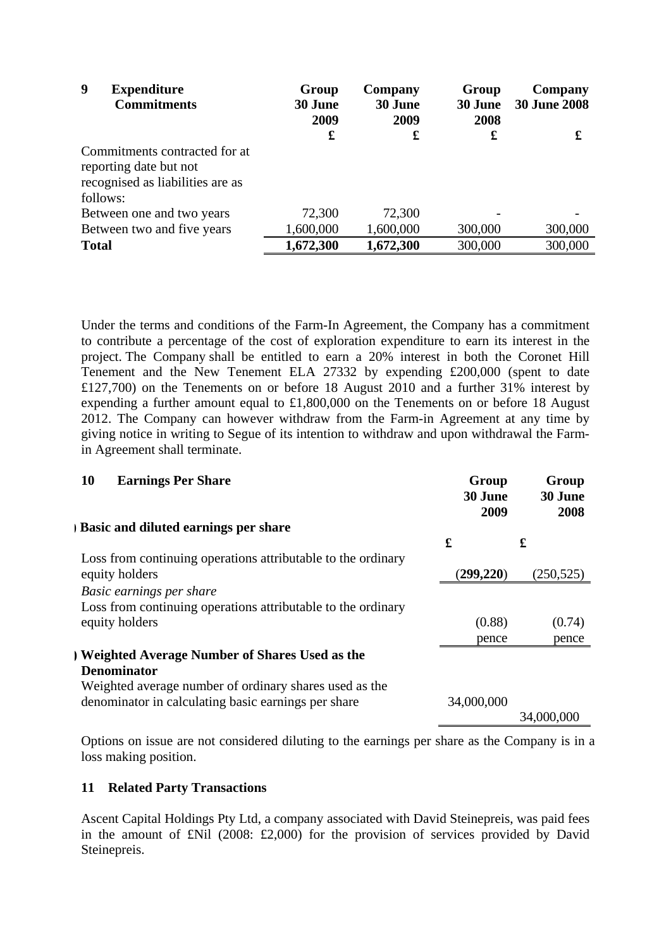| 9<br><b>Expenditure</b><br><b>Commitments</b>                                                           | Group<br>30 June<br>2009<br>£ | Company<br>30 June<br>2009<br>£ | Group<br>30 June<br>2008<br>£ | Company<br><b>30 June 2008</b><br>£ |
|---------------------------------------------------------------------------------------------------------|-------------------------------|---------------------------------|-------------------------------|-------------------------------------|
| Commitments contracted for at<br>reporting date but not<br>recognised as liabilities are as<br>follows: |                               |                                 |                               |                                     |
| Between one and two years                                                                               | 72,300                        | 72,300                          |                               |                                     |
| Between two and five years                                                                              | 1,600,000                     | 1,600,000                       | 300,000                       | 300,000                             |
| <b>Total</b>                                                                                            | 1,672,300                     | 1,672,300                       | 300,000                       | 300,000                             |

Under the terms and conditions of the Farm-In Agreement, the Company has a commitment to contribute a percentage of the cost of exploration expenditure to earn its interest in the project. The Company shall be entitled to earn a 20% interest in both the Coronet Hill Tenement and the New Tenement ELA 27332 by expending £200,000 (spent to date £127,700) on the Tenements on or before 18 August 2010 and a further 31% interest by expending a further amount equal to £1,800,000 on the Tenements on or before 18 August 2012. The Company can however withdraw from the Farm-in Agreement at any time by giving notice in writing to Segue of its intention to withdraw and upon withdrawal the Farmin Agreement shall terminate.

| <b>Earnings Per Share</b><br>10                              | Group<br>30 June<br>2009 | Group<br>30 June<br>2008 |
|--------------------------------------------------------------|--------------------------|--------------------------|
| <b>Basic and diluted earnings per share</b>                  |                          |                          |
|                                                              | £                        | £                        |
| Loss from continuing operations attributable to the ordinary |                          |                          |
| equity holders                                               | (299, 220)               | (250, 525)               |
| Basic earnings per share                                     |                          |                          |
| Loss from continuing operations attributable to the ordinary |                          |                          |
| equity holders                                               | (0.88)                   | (0.74)                   |
|                                                              | pence                    | pence                    |
| ) Weighted Average Number of Shares Used as the              |                          |                          |
| <b>Denominator</b>                                           |                          |                          |
| Weighted average number of ordinary shares used as the       |                          |                          |
| denominator in calculating basic earnings per share          | 34,000,000               |                          |
|                                                              |                          | 34,000,000               |

Options on issue are not considered diluting to the earnings per share as the Company is in a loss making position.

## **11 Related Party Transactions**

Ascent Capital Holdings Pty Ltd, a company associated with David Steinepreis, was paid fees in the amount of £Nil (2008: £2,000) for the provision of services provided by David Steinepreis.